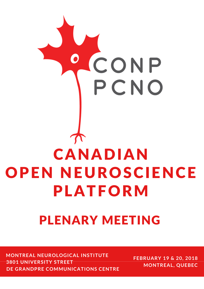

# PLENARY MEETING

**FEBRUARY <sup>19</sup> & 20, <sup>2018</sup> MONTREAL NEUROLOGICAL INSTITUTE 3801 UNIVERSITY STREET DE GRANDPRE COMMUNICATIONS CENTRE**

**MONTREAL, QUEBEC**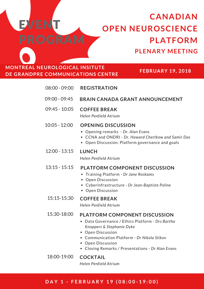## **CANADIAN OPEN NEUROSCIENCE PLATFORM PLENARY MEETING**

### **MONTREAL NEUROLOGICAL INSITUTE DE GRANDPRE COMMUNICATIONS CENTRE**

**EVENT** 

PROGRAM

**FEBRUARY 19, 2018**

| 08:00 - 09:00   | <b>REGISTRATION</b>                                                                                                                                                                                                                                                       |
|-----------------|---------------------------------------------------------------------------------------------------------------------------------------------------------------------------------------------------------------------------------------------------------------------------|
| 09:00 - 09:45   | <b>BRAIN CANADA GRANT ANNOUNCEMENT</b>                                                                                                                                                                                                                                    |
| $09:45 - 10:05$ | <b>COFFEE BREAK</b><br>Helen Penfield Atrium                                                                                                                                                                                                                              |
| $10:05 - 12:00$ | <b>OPENING DISCUSSION</b><br>• Opening remarks - Dr. Alan Evans<br>• CCNA and ONDRI - Dr. Howard Chertkow and Samir Das<br>Open Discussion: Platform governance and goals                                                                                                 |
| $12:00 - 13:15$ | <b>LUNCH</b><br>Helen Penfield Atrium                                                                                                                                                                                                                                     |
| $13:15 - 15:15$ | <b>PLATFORM COMPONENT DISCUSSION</b><br>• Training Platform - Dr Jane Roskams<br>• Open Discussion<br>• Cyberinfrastructure - Dr Jean-Baptiste Poline<br>• Open Discussion                                                                                                |
| 15:15-15:30     | <b>COFFEE BREAK</b><br>Helen Penfield Atrium                                                                                                                                                                                                                              |
| 15:30-18:00     | <b>PLATFORM COMPONENT DISCUSSION</b><br>Data Governance / Ethics Platform - Drs Bartha<br>Knoppers & Stephanie Dyke<br><b>Open Discussion</b><br>Communication Platform - Dr Nikola Stikov<br><b>Open Discussion</b><br>• Closing Remarks / Presentations - Dr Alan Evans |
| 18:00-19:00     | <b>COCKTAIL</b><br>Helen Penfield Atrium                                                                                                                                                                                                                                  |

#### DAY 1 - FEBRUARY 19 (08:00-19:00)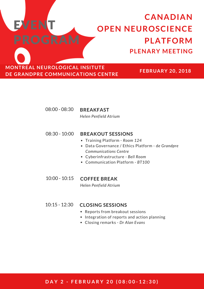## **CANADIAN OPEN NEUROSCIENCE PLATFORM PLENARY MEETING**

**MONTREAL NEUROLOGICAL INSITUTE DE GRANDPRE COMMUNICATIONS CENTRE**

EVENT

PROGRAM

**FEBRUARY 20, 2018**

#### 08:00 - 08:30 **BREAKFAST**

*Helen Penfield Atrium*

#### 08:30 - 10:00 **BREAKOUT SESSIONS**

- Training Platform *Room 124*
- Data Governance / Ethics Platform d*e Grandpre Communications Centre*
- Cyberinfrastructure *Bell Room*
- Communication Platform *BT100*

### 10:00 - 10:15 **COFFEE BREAK**

*Helen Penfield Atrium*

#### 10:15 - 12:30 **CLOSING SESSIONS**

- Reports from breakout sessions
- Integration of reports and action planning
- Closing remarks *Dr Alan Evans*

#### DAY 2 - FEBRUARY 20 (08:00-12:30)